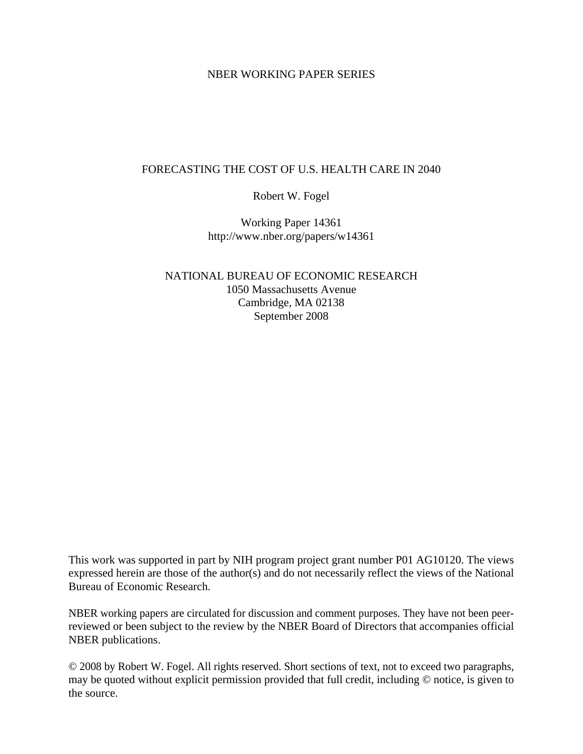# NBER WORKING PAPER SERIES

# FORECASTING THE COST OF U.S. HEALTH CARE IN 2040

Robert W. Fogel

Working Paper 14361 http://www.nber.org/papers/w14361

NATIONAL BUREAU OF ECONOMIC RESEARCH 1050 Massachusetts Avenue Cambridge, MA 02138 September 2008

This work was supported in part by NIH program project grant number P01 AG10120. The views expressed herein are those of the author(s) and do not necessarily reflect the views of the National Bureau of Economic Research.

NBER working papers are circulated for discussion and comment purposes. They have not been peerreviewed or been subject to the review by the NBER Board of Directors that accompanies official NBER publications.

© 2008 by Robert W. Fogel. All rights reserved. Short sections of text, not to exceed two paragraphs, may be quoted without explicit permission provided that full credit, including © notice, is given to the source.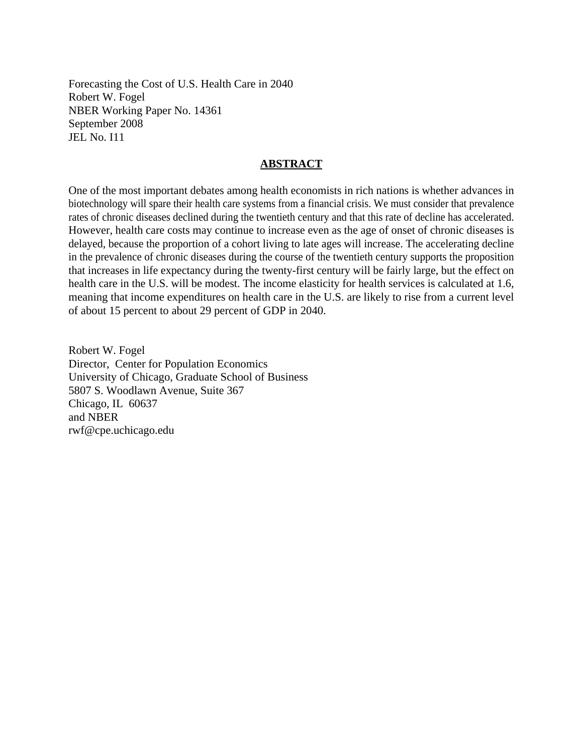Forecasting the Cost of U.S. Health Care in 2040 Robert W. Fogel NBER Working Paper No. 14361 September 2008 JEL No. I11

# **ABSTRACT**

One of the most important debates among health economists in rich nations is whether advances in biotechnology will spare their health care systems from a financial crisis. We must consider that prevalence rates of chronic diseases declined during the twentieth century and that this rate of decline has accelerated. However, health care costs may continue to increase even as the age of onset of chronic diseases is delayed, because the proportion of a cohort living to late ages will increase. The accelerating decline in the prevalence of chronic diseases during the course of the twentieth century supports the proposition that increases in life expectancy during the twenty-first century will be fairly large, but the effect on health care in the U.S. will be modest. The income elasticity for health services is calculated at 1.6, meaning that income expenditures on health care in the U.S. are likely to rise from a current level of about 15 percent to about 29 percent of GDP in 2040.

Robert W. Fogel Director, Center for Population Economics University of Chicago, Graduate School of Business 5807 S. Woodlawn Avenue, Suite 367 Chicago, IL 60637 and NBER rwf@cpe.uchicago.edu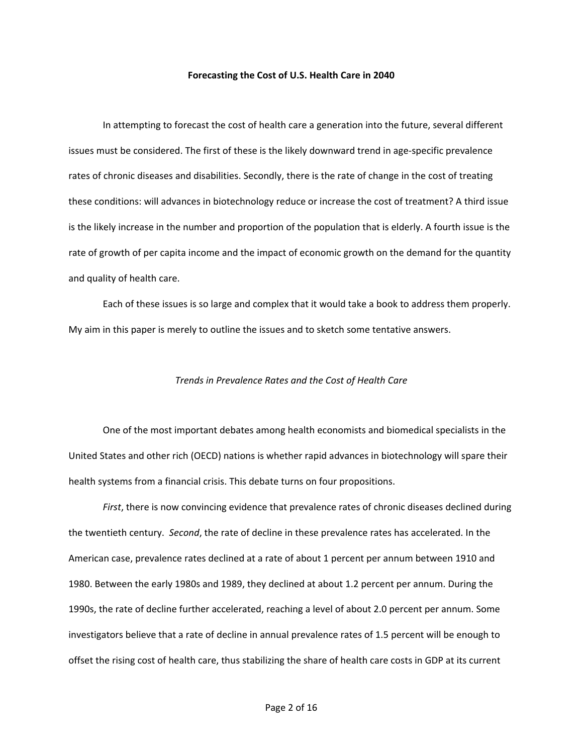#### **Forecasting the Cost of U.S. Health Care in 2040**

In attempting to forecast the cost of health care a generation into the future, several different issues must be considered. The first of these is the likely downward trend in age‐specific prevalence rates of chronic diseases and disabilities. Secondly, there is the rate of change in the cost of treating these conditions: will advances in biotechnology reduce or increase the cost of treatment? A third issue is the likely increase in the number and proportion of the population that is elderly. A fourth issue is the rate of growth of per capita income and the impact of economic growth on the demand for the quantity and quality of health care.

Each of these issues is so large and complex that it would take a book to address them properly. My aim in this paper is merely to outline the issues and to sketch some tentative answers.

#### *Trends in Prevalence Rates and the Cost of Health Care*

One of the most important debates among health economists and biomedical specialists in the United States and other rich (OECD) nations is whether rapid advances in biotechnology will spare their health systems from a financial crisis. This debate turns on four propositions.

*First*, there is now convincing evidence that prevalence rates of chronic diseases declined during the twentieth century. *Second*, the rate of decline in these prevalence rates has accelerated. In the American case, prevalence rates declined at a rate of about 1 percent per annum between 1910 and 1980. Between the early 1980s and 1989, they declined at about 1.2 percent per annum. During the 1990s, the rate of decline further accelerated, reaching a level of about 2.0 percent per annum. Some investigators believe that a rate of decline in annual prevalence rates of 1.5 percent will be enough to offset the rising cost of health care, thus stabilizing the share of health care costs in GDP at its current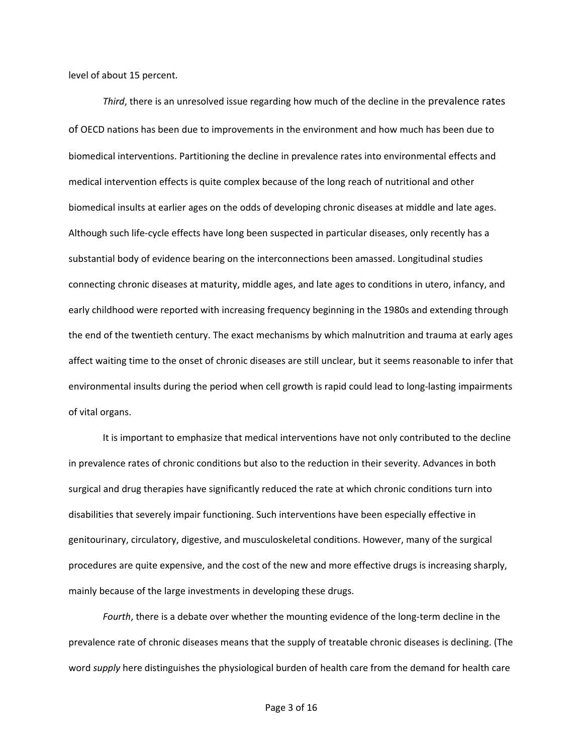level of about 15 percent.

*Third*, there is an unresolved issue regarding how much of the decline in the prevalence rates of OECD nations has been due to improvements in the environment and how much has been due to biomedical interventions. Partitioning the decline in prevalence rates into environmental effects and medical intervention effects is quite complex because of the long reach of nutritional and other biomedical insults at earlier ages on the odds of developing chronic diseases at middle and late ages. Although such life‐cycle effects have long been suspected in particular diseases, only recently has a substantial body of evidence bearing on the interconnections been amassed. Longitudinal studies connecting chronic diseases at maturity, middle ages, and late ages to conditions in utero, infancy, and early childhood were reported with increasing frequency beginning in the 1980s and extending through the end of the twentieth century. The exact mechanisms by which malnutrition and trauma at early ages affect waiting time to the onset of chronic diseases are still unclear, but it seems reasonable to infer that environmental insults during the period when cell growth is rapid could lead to long-lasting impairments of vital organs.

It is important to emphasize that medical interventions have not only contributed to the decline in prevalence rates of chronic conditions but also to the reduction in their severity. Advances in both surgical and drug therapies have significantly reduced the rate at which chronic conditions turn into disabilities that severely impair functioning. Such interventions have been especially effective in genitourinary, circulatory, digestive, and musculoskeletal conditions. However, many of the surgical procedures are quite expensive, and the cost of the new and more effective drugs is increasing sharply, mainly because of the large investments in developing these drugs.

*Fourth*, there is a debate over whether the mounting evidence of the long-term decline in the prevalence rate of chronic diseases means that the supply of treatable chronic diseases is declining. (The word *supply* here distinguishes the physiological burden of health care from the demand for health care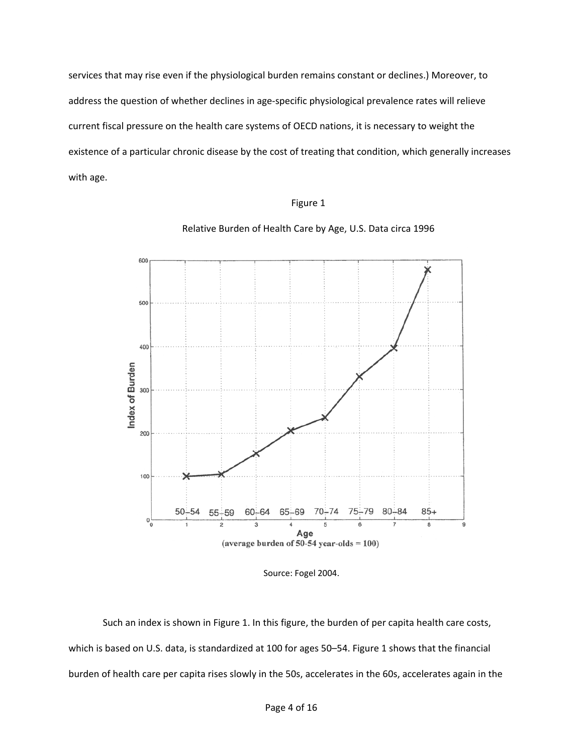services that may rise even if the physiological burden remains constant or declines.) Moreover, to address the question of whether declines in age-specific physiological prevalence rates will relieve current fiscal pressure on the health care systems of OECD nations, it is necessary to weight the existence of a particular chronic disease by the cost of treating that condition, which generally increases with age.

#### Figure 1

# Relative Burden of Health Care by Age, U.S. Data circa 1996



Source: Fogel 2004.

Such an index is shown in Figure 1. In this figure, the burden of per capita health care costs, which is based on U.S. data, is standardized at 100 for ages 50–54. Figure 1 shows that the financial burden of health care per capita rises slowly in the 50s, accelerates in the 60s, accelerates again in the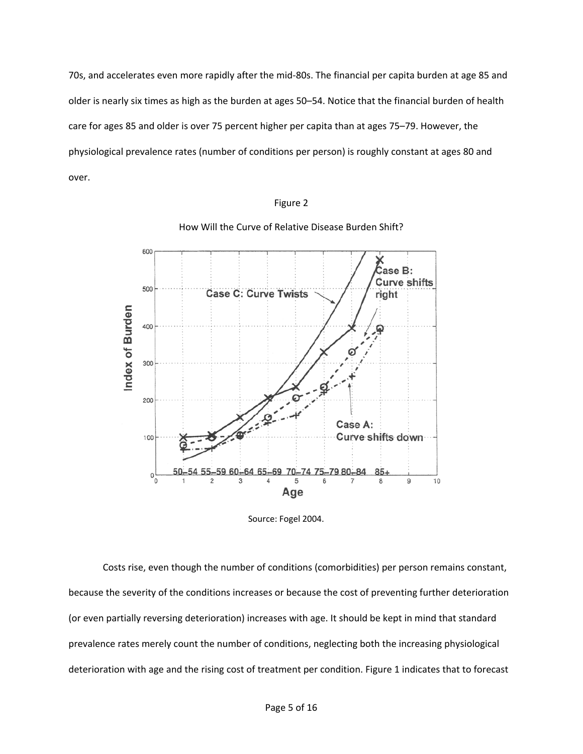70s, and accelerates even more rapidly after the mid‐80s. The financial per capita burden at age 85 and older is nearly six times as high as the burden at ages 50–54. Notice that the financial burden of health care for ages 85 and older is over 75 percent higher per capita than at ages 75–79. However, the physiological prevalence rates (number of conditions per person) is roughly constant at ages 80 and over.

### Figure 2



### How Will the Curve of Relative Disease Burden Shift?

Source: Fogel 2004.

Costs rise, even though the number of conditions (comorbidities) per person remains constant, because the severity of the conditions increases or because the cost of preventing further deterioration (or even partially reversing deterioration) increases with age. It should be kept in mind that standard prevalence rates merely count the number of conditions, neglecting both the increasing physiological deterioration with age and the rising cost of treatment per condition. Figure 1 indicates that to forecast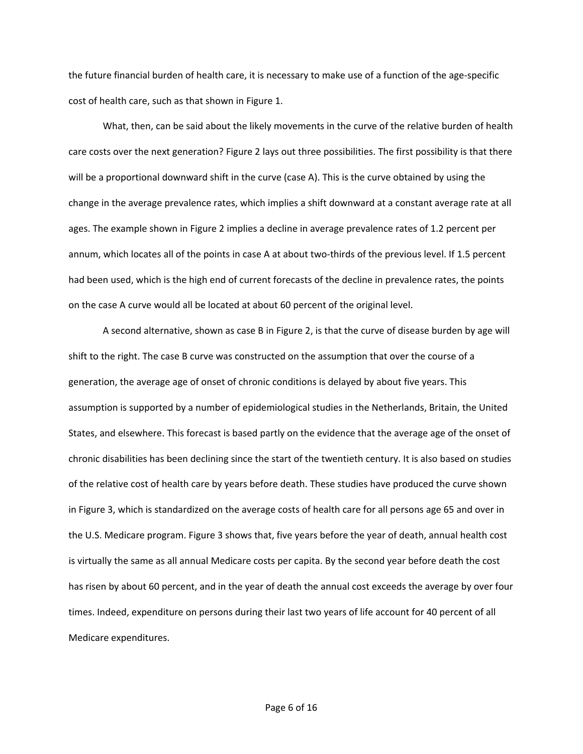the future financial burden of health care, it is necessary to make use of a function of the age‐specific cost of health care, such as that shown in Figure 1.

What, then, can be said about the likely movements in the curve of the relative burden of health care costs over the next generation? Figure 2 lays out three possibilities. The first possibility is that there will be a proportional downward shift in the curve (case A). This is the curve obtained by using the change in the average prevalence rates, which implies a shift downward at a constant average rate at all ages. The example shown in Figure 2 implies a decline in average prevalence rates of 1.2 percent per annum, which locates all of the points in case A at about two-thirds of the previous level. If 1.5 percent had been used, which is the high end of current forecasts of the decline in prevalence rates, the points on the case A curve would all be located at about 60 percent of the original level.

A second alternative, shown as case B in Figure 2, is that the curve of disease burden by age will shift to the right. The case B curve was constructed on the assumption that over the course of a generation, the average age of onset of chronic conditions is delayed by about five years. This assumption is supported by a number of epidemiological studies in the Netherlands, Britain, the United States, and elsewhere. This forecast is based partly on the evidence that the average age of the onset of chronic disabilities has been declining since the start of the twentieth century. It is also based on studies of the relative cost of health care by years before death. These studies have produced the curve shown in Figure 3, which is standardized on the average costs of health care for all persons age 65 and over in the U.S. Medicare program. Figure 3 shows that, five years before the year of death, annual health cost is virtually the same as all annual Medicare costs per capita. By the second year before death the cost has risen by about 60 percent, and in the year of death the annual cost exceeds the average by over four times. Indeed, expenditure on persons during their last two years of life account for 40 percent of all Medicare expenditures.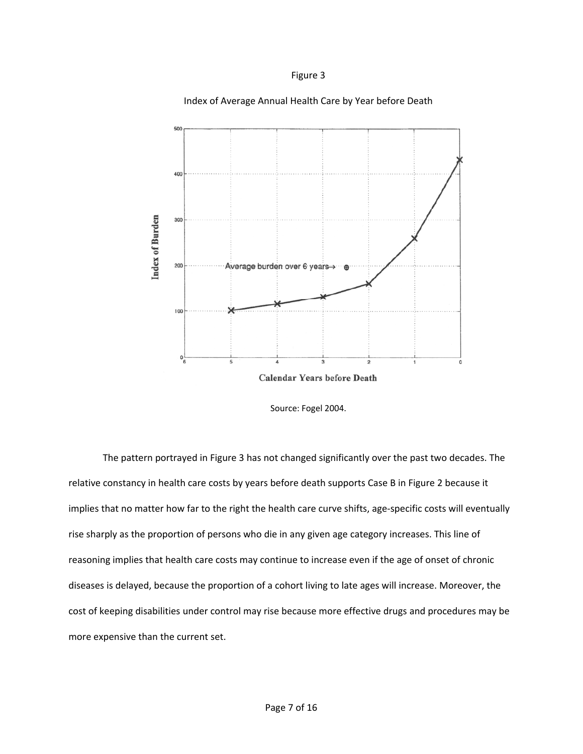### Figure 3



#### Index of Average Annual Health Care by Year before Death



The pattern portrayed in Figure 3 has not changed significantly over the past two decades. The relative constancy in health care costs by years before death supports Case B in Figure 2 because it implies that no matter how far to the right the health care curve shifts, age-specific costs will eventually rise sharply as the proportion of persons who die in any given age category increases. This line of reasoning implies that health care costs may continue to increase even if the age of onset of chronic diseases is delayed, because the proportion of a cohort living to late ages will increase. Moreover, the cost of keeping disabilities under control may rise because more effective drugs and procedures may be more expensive than the current set.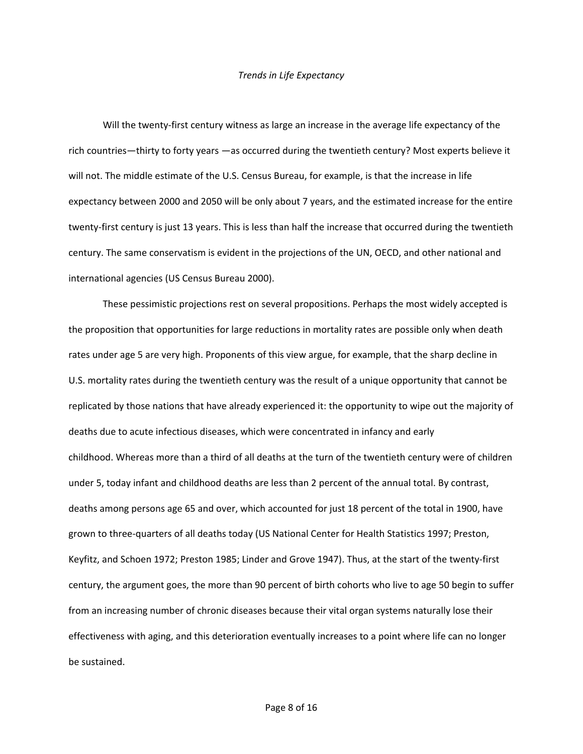#### *Trends in Life Expectancy*

Will the twenty‐first century witness as large an increase in the average life expectancy of the rich countries—thirty to forty years —as occurred during the twentieth century? Most experts believe it will not. The middle estimate of the U.S. Census Bureau, for example, is that the increase in life expectancy between 2000 and 2050 will be only about 7 years, and the estimated increase for the entire twenty‐first century is just 13 years. This is less than half the increase that occurred during the twentieth century. The same conservatism is evident in the projections of the UN, OECD, and other national and international agencies (US Census Bureau 2000).

These pessimistic projections rest on several propositions. Perhaps the most widely accepted is the proposition that opportunities for large reductions in mortality rates are possible only when death rates under age 5 are very high. Proponents of this view argue, for example, that the sharp decline in U.S. mortality rates during the twentieth century was the result of a unique opportunity that cannot be replicated by those nations that have already experienced it: the opportunity to wipe out the majority of deaths due to acute infectious diseases, which were concentrated in infancy and early childhood. Whereas more than a third of all deaths at the turn of the twentieth century were of children under 5, today infant and childhood deaths are less than 2 percent of the annual total. By contrast, deaths among persons age 65 and over, which accounted for just 18 percent of the total in 1900, have grown to three‐quarters of all deaths today (US National Center for Health Statistics 1997; Preston, Keyfitz, and Schoen 1972; Preston 1985; Linder and Grove 1947). Thus, at the start of the twenty‐first century, the argument goes, the more than 90 percent of birth cohorts who live to age 50 begin to suffer from an increasing number of chronic diseases because their vital organ systems naturally lose their effectiveness with aging, and this deterioration eventually increases to a point where life can no longer be sustained.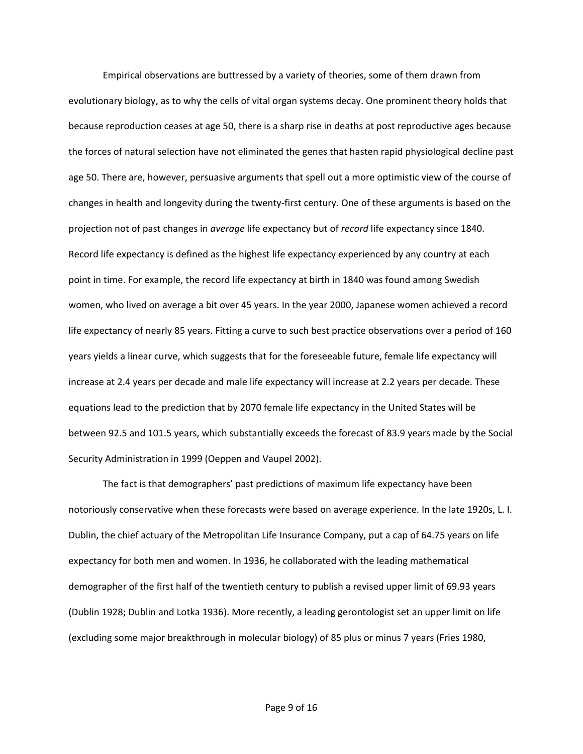Empirical observations are buttressed by a variety of theories, some of them drawn from evolutionary biology, as to why the cells of vital organ systems decay. One prominent theory holds that because reproduction ceases at age 50, there is a sharp rise in deaths at post reproductive ages because the forces of natural selection have not eliminated the genes that hasten rapid physiological decline past age 50. There are, however, persuasive arguments that spell out a more optimistic view of the course of changes in health and longevity during the twenty‐first century. One of these arguments is based on the projection not of past changes in *average* life expectancy but of *record* life expectancy since 1840. Record life expectancy is defined as the highest life expectancy experienced by any country at each point in time. For example, the record life expectancy at birth in 1840 was found among Swedish women, who lived on average a bit over 45 years. In the year 2000, Japanese women achieved a record life expectancy of nearly 85 years. Fitting a curve to such best practice observations over a period of 160 years yields a linear curve, which suggests that for the foreseeable future, female life expectancy will increase at 2.4 years per decade and male life expectancy will increase at 2.2 years per decade. These equations lead to the prediction that by 2070 female life expectancy in the United States will be between 92.5 and 101.5 years, which substantially exceeds the forecast of 83.9 years made by the Social Security Administration in 1999 (Oeppen and Vaupel 2002).

The fact is that demographers' past predictions of maximum life expectancy have been notoriously conservative when these forecasts were based on average experience. In the late 1920s, L. I. Dublin, the chief actuary of the Metropolitan Life Insurance Company, put a cap of 64.75 years on life expectancy for both men and women. In 1936, he collaborated with the leading mathematical demographer of the first half of the twentieth century to publish a revised upper limit of 69.93 years (Dublin 1928; Dublin and Lotka 1936). More recently, a leading gerontologist set an upper limit on life (excluding some major breakthrough in molecular biology) of 85 plus or minus 7 years (Fries 1980,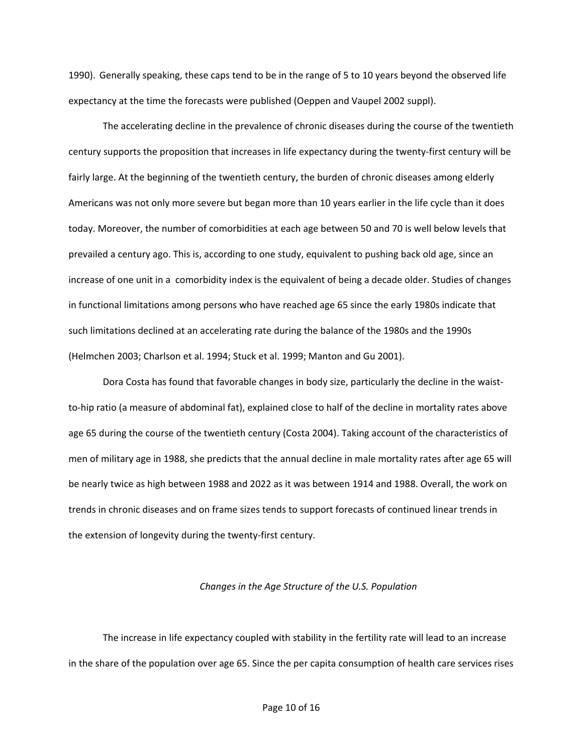1990). Generally speaking, these caps tend to be in the range of 5 to 10 years beyond the observed life expectancy at the time the forecasts were published (Oeppen and Vaupel 2002 suppl).

The accelerating decline in the prevalence of chronic diseases during the course of the twentieth century supports the proposition that increases in life expectancy during the twenty-first century will be fairly large. At the beginning of the twentieth century, the burden of chronic diseases among elderly Americans was not only more severe but began more than 10 years earlier in the life cycle than it does today. Moreover, the number of comorbidities at each age between 50 and 70 is well below levels that prevailed a century ago. This is, according to one study, equivalent to pushing back old age, since an increase of one unit in a comorbidity index is the equivalent of being a decade older. Studies of changes in functional limitations among persons who have reached age 65 since the early 1980s indicate that such limitations declined at an accelerating rate during the balance of the 1980s and the 1990s (Helmchen 2003; Charlson et al. 1994; Stuck et al. 1999; Manton and Gu 2001).

Dora Costa has found that favorable changes in body size, particularly the decline in the waist‐ to-hip ratio (a measure of abdominal fat), explained close to half of the decline in mortality rates above age 65 during the course of the twentieth century (Costa 2004). Taking account of the characteristics of men of military age in 1988, she predicts that the annual decline in male mortality rates after age 65 will be nearly twice as high between 1988 and 2022 as it was between 1914 and 1988. Overall, the work on trends in chronic diseases and on frame sizes tends to support forecasts of continued linear trends in the extension of longevity during the twenty‐first century.

### *Changes in the Age Structure of the U.S. Population*

The increase in life expectancy coupled with stability in the fertility rate will lead to an increase in the share of the population over age 65. Since the per capita consumption of health care services rises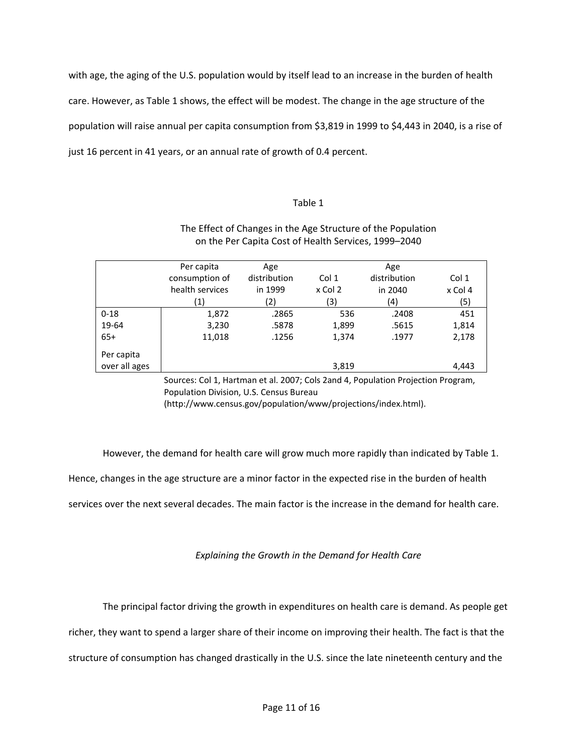with age, the aging of the U.S. population would by itself lead to an increase in the burden of health care. However, as Table 1 shows, the effect will be modest. The change in the age structure of the population will raise annual per capita consumption from \$3,819 in 1999 to \$4,443 in 2040, is a rise of just 16 percent in 41 years, or an annual rate of growth of 0.4 percent.

### Table 1

# The Effect of Changes in the Age Structure of the Population on the Per Capita Cost of Health Services, 1999–2040

|               | Per capita<br>consumption of<br>health services | Age<br>distribution<br>in 1999 | Col 1<br>x Col 2 | Age<br>distribution<br>in 2040 | Col 1<br>x Col 4 |
|---------------|-------------------------------------------------|--------------------------------|------------------|--------------------------------|------------------|
|               | (1)                                             | (2)                            | (3)              | (4)                            | (5)              |
| $0 - 18$      | 1,872                                           | .2865                          | 536              | .2408                          | 451              |
| 19-64         | 3,230                                           | .5878                          | 1,899            | .5615                          | 1,814            |
| $65+$         | 11,018                                          | .1256                          | 1,374            | .1977                          | 2,178            |
| Per capita    |                                                 |                                |                  |                                |                  |
| over all ages |                                                 |                                | 3,819            |                                | 4,443            |

Sources: Col 1, Hartman et al. 2007; Cols 2and 4, Population Projection Program, Population Division, U.S. Census Bureau (http://www.census.gov/population/www/projections/index.html).

However, the demand for health care will grow much more rapidly than indicated by Table 1.

Hence, changes in the age structure are a minor factor in the expected rise in the burden of health

services over the next several decades. The main factor is the increase in the demand for health care.

*Explaining the Growth in the Demand for Health Care*

The principal factor driving the growth in expenditures on health care is demand. As people get

richer, they want to spend a larger share of their income on improving their health. The fact is that the

structure of consumption has changed drastically in the U.S. since the late nineteenth century and the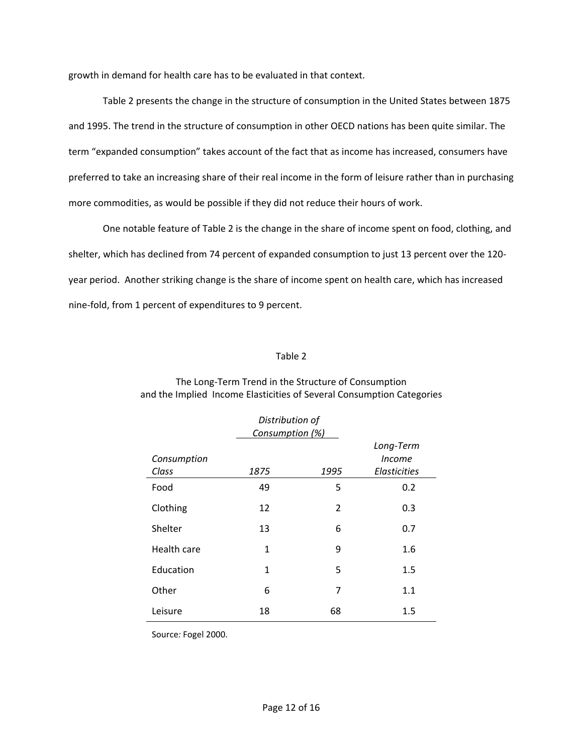growth in demand for health care has to be evaluated in that context.

Table 2 presents the change in the structure of consumption in the United States between 1875 and 1995. The trend in the structure of consumption in other OECD nations has been quite similar. The term "expanded consumption" takes account of the fact that as income has increased, consumers have preferred to take an increasing share of their real income in the form of leisure rather than in purchasing more commodities, as would be possible if they did not reduce their hours of work.

One notable feature of Table 2 is the change in the share of income spent on food, clothing, and shelter, which has declined from 74 percent of expanded consumption to just 13 percent over the 120‐ year period. Another striking change is the share of income spent on health care, which has increased nine‐fold, from 1 percent of expenditures to 9 percent.

### Table 2

|                      | Distribution of<br>Consumption (%) |                |                                                   |
|----------------------|------------------------------------|----------------|---------------------------------------------------|
| Consumption<br>Class | 1875                               | 1995           | Long-Term<br><i>Income</i><br><b>Elasticities</b> |
| Food                 | 49                                 | 5              | 0.2                                               |
| Clothing             | 12                                 | $\overline{2}$ | 0.3                                               |
| Shelter              | 13                                 | 6              | 0.7                                               |
| Health care          | $\mathbf{1}$                       | 9              | 1.6                                               |
| Education            | 1                                  | 5              | 1.5                                               |
| Other                | 6                                  | 7              | 1.1                                               |
| Leisure              | 18                                 | 68             | 1.5                                               |

### The Long‐Term Trend in the Structure of Consumption and the Implied Income Elasticities of Several Consumption Categories

Source*:* Fogel 2000.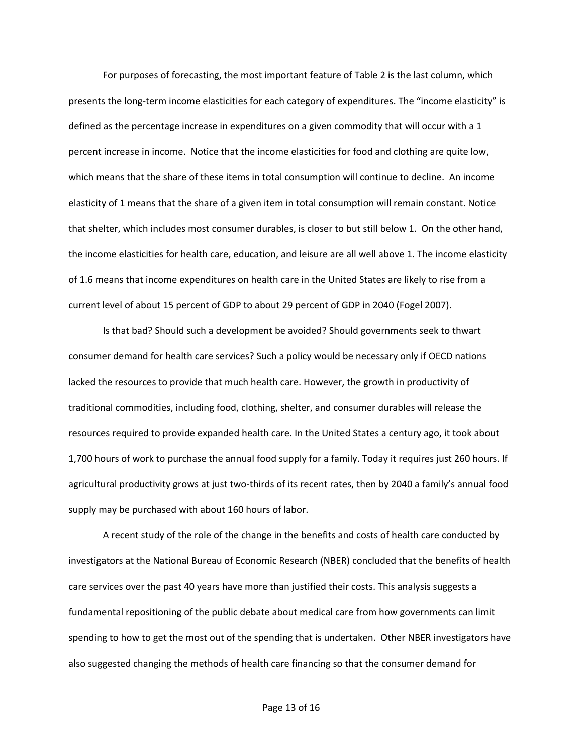For purposes of forecasting, the most important feature of Table 2 is the last column, which presents the long-term income elasticities for each category of expenditures. The "income elasticity" is defined as the percentage increase in expenditures on a given commodity that will occur with a 1 percent increase in income. Notice that the income elasticities for food and clothing are quite low, which means that the share of these items in total consumption will continue to decline. An income elasticity of 1 means that the share of a given item in total consumption will remain constant. Notice that shelter, which includes most consumer durables, is closer to but still below 1. On the other hand, the income elasticities for health care, education, and leisure are all well above 1. The income elasticity of 1.6 means that income expenditures on health care in the United States are likely to rise from a current level of about 15 percent of GDP to about 29 percent of GDP in 2040 (Fogel 2007).

Is that bad? Should such a development be avoided? Should governments seek to thwart consumer demand for health care services? Such a policy would be necessary only if OECD nations lacked the resources to provide that much health care. However, the growth in productivity of traditional commodities, including food, clothing, shelter, and consumer durables will release the resources required to provide expanded health care. In the United States a century ago, it took about 1,700 hours of work to purchase the annual food supply for a family. Today it requires just 260 hours. If agricultural productivity grows at just two-thirds of its recent rates, then by 2040 a family's annual food supply may be purchased with about 160 hours of labor.

A recent study of the role of the change in the benefits and costs of health care conducted by investigators at the National Bureau of Economic Research (NBER) concluded that the benefits of health care services over the past 40 years have more than justified their costs. This analysis suggests a fundamental repositioning of the public debate about medical care from how governments can limit spending to how to get the most out of the spending that is undertaken. Other NBER investigators have also suggested changing the methods of health care financing so that the consumer demand for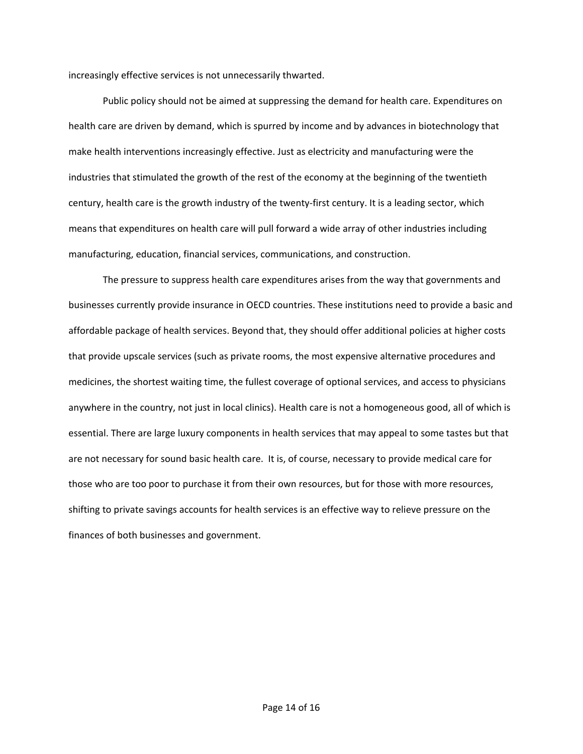increasingly effective services is not unnecessarily thwarted.

Public policy should not be aimed at suppressing the demand for health care. Expenditures on health care are driven by demand, which is spurred by income and by advances in biotechnology that make health interventions increasingly effective. Just as electricity and manufacturing were the industries that stimulated the growth of the rest of the economy at the beginning of the twentieth century, health care is the growth industry of the twenty‐first century. It is a leading sector, which means that expenditures on health care will pull forward a wide array of other industries including manufacturing, education, financial services, communications, and construction.

The pressure to suppress health care expenditures arises from the way that governments and businesses currently provide insurance in OECD countries. These institutions need to provide a basic and affordable package of health services. Beyond that, they should offer additional policies at higher costs that provide upscale services (such as private rooms, the most expensive alternative procedures and medicines, the shortest waiting time, the fullest coverage of optional services, and access to physicians anywhere in the country, not just in local clinics). Health care is not a homogeneous good, all of which is essential. There are large luxury components in health services that may appeal to some tastes but that are not necessary for sound basic health care. It is, of course, necessary to provide medical care for those who are too poor to purchase it from their own resources, but for those with more resources, shifting to private savings accounts for health services is an effective way to relieve pressure on the finances of both businesses and government.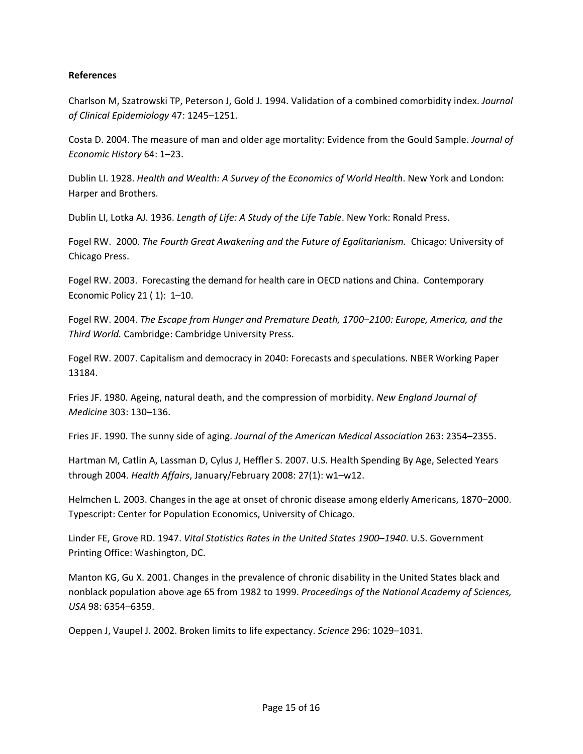### **References**

Charlson M, Szatrowski TP, Peterson J, Gold J. 1994. Validation of a combined comorbidity index. *Journal of Clinical Epidemiology* 47: 1245–1251.

Costa D. 2004. The measure of man and older age mortality: Evidence from the Gould Sample. *Journal of Economic History* 64: 1–23.

Dublin LI. 1928. *Health and Wealth: A Survey of the Economics of World Health*. New York and London: Harper and Brothers.

Dublin LI, Lotka AJ. 1936. *Length of Life: A Study of the Life Table*. New York: Ronald Press.

Fogel RW. 2000. *The Fourth Great Awakening and the Future of Egalitarianism.* Chicago: University of Chicago Press.

Fogel RW. 2003. Forecasting the demand for health care in OECD nations and China. Contemporary Economic Policy 21 ( 1): 1–10.

Fogel RW. 2004. *The Escape from Hunger and Premature Death, 1700–2100: Europe, America, and the Third World.* Cambridge: Cambridge University Press.

Fogel RW. 2007. Capitalism and democracy in 2040: Forecasts and speculations. NBER Working Paper 13184.

Fries JF. 1980. Ageing, natural death, and the compression of morbidity. *New England Journal of Medicine* 303: 130–136.

Fries JF. 1990. The sunny side of aging. *Journal of the American Medical Association* 263: 2354–2355.

Hartman M, Catlin A, Lassman D, Cylus J, Heffler S. 2007. U.S. Health Spending By Age, Selected Years through 2004. *Health Affairs*, January/February 2008: 27(1): w1–w12.

Helmchen L. 2003. Changes in the age at onset of chronic disease among elderly Americans, 1870–2000. Typescript: Center for Population Economics, University of Chicago.

Linder FE, Grove RD. 1947. *Vital Statistics Rates in the United States 1900–1940*. U.S. Government Printing Office: Washington, DC.

Manton KG, Gu X. 2001. Changes in the prevalence of chronic disability in the United States black and nonblack population above age 65 from 1982 to 1999. *Proceedings of the National Academy of Sciences, USA* 98: 6354–6359.

Oeppen J, Vaupel J. 2002. Broken limits to life expectancy. *Science* 296: 1029–1031.